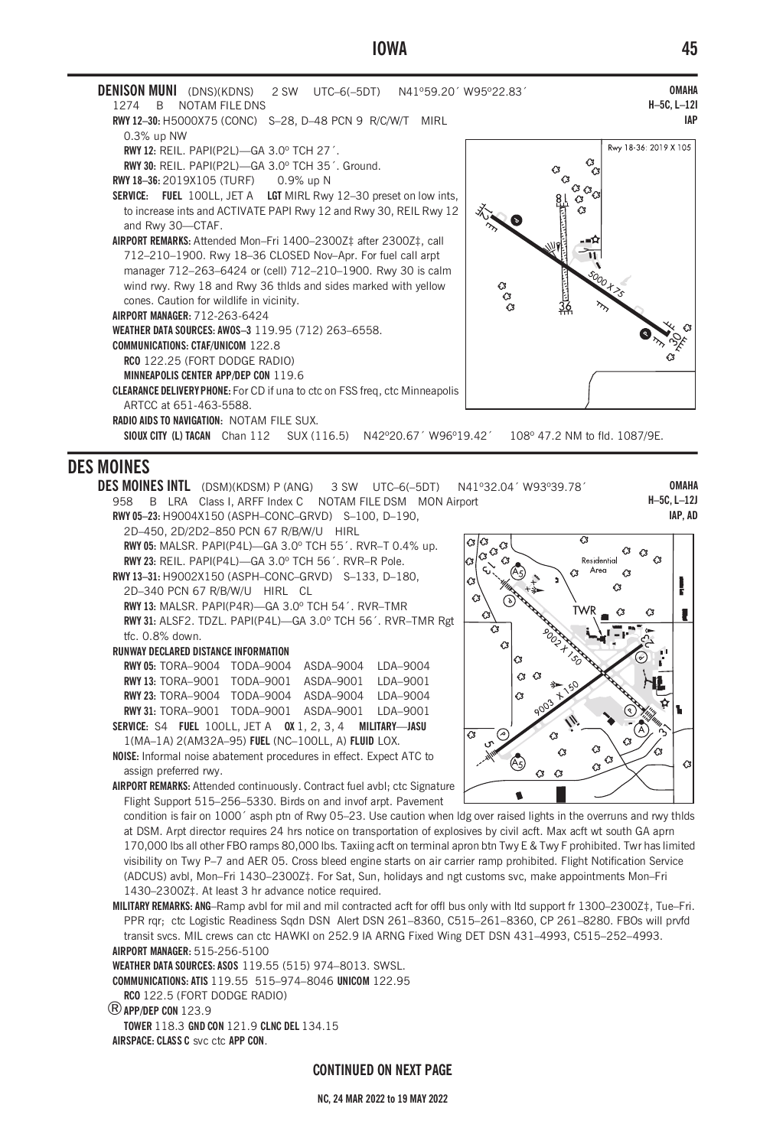## **IOWA 45**



# **DES MOINES**

**DES MOINES INTL** (DSM)(KDSM) P (ANG) 3 SW UTC–6(–5DT) N41º32.04´ W93º39.78´ 958 B LRA Class I, ARFF Index C NOTAM FILE DSM MON Airport **RWY 05–23:** H9004X150 (ASPH–CONC–GRVD) S–100, D–190, 2D–450, 2D/2D2–850 PCN 67 R/B/W/U HIRL  $\sqrt{\frac{3}{\alpha}}$  $\overline{c}$  $\circ$   $\circ$ **RWY 05:** MALSR. PAPI(P4L)—GA 3.0º TCH 55´. RVR–T 0.4% up. **RWY 23:** REIL. PAPI(P4L)—GA 3.0º TCH 56´. RVR–R Pole. ۵ Area **RWY 13–31:** H9002X150 (ASPH–CONC–GRVD) S–133, D–180, 2D–340 PCN 67 R/B/W/U HIRL CL **RWY 13:** MALSR. PAPI(P4R)—GA 3.0º TCH 54´. RVR–TMR **RWY 31:** ALSF2. TDZL. PAPI(P4L)—GA 3.0º TCH 56´. RVR–TMR Rgt tfc. 0.8% down. **RUNWAY DECLARED DISTANCE INFORMATION RWY 05:** TORA–9004 TODA–9004 ASDA–9004 LDA–9004 **RWY 13:** TORA–9001 TODA–9001 ASDA–9001 LDA–9001 **RWY 23:** TORA–9004 TODA–9004 ASDA–9004 LDA–9004 **RWY 31:** TORA–9001 TODA–9001 ASDA–9001 LDA–9001 **SERVICE:** S4 **FUEL** 100LL, JET A **OX** 1, 2, 3, 4 **MILITARY**—**JASU** 1(MA–1A) 2(AM32A–95) **FUEL** (NC–100LL, A) **FLUID** LOX. O. **NOISE:** Informal noise abatement procedures in effect. Expect ATC to  $\alpha$  $\alpha$ assign preferred rwy. **AIRPORT REMARKS:** Attended continuously. Contract fuel avbl; ctc Signature Flight Support 515–256–5330. Birds on and invof arpt. Pavement condition is fair on 1000´ asph ptn of Rwy 05–23. Use caution when ldg over raised lights in the overruns and rwy thlds at DSM. Arpt director requires 24 hrs notice on transportation of explosives by civil acft. Max acft wt south GA aprn 170,000 lbs all other FBO ramps 80,000 lbs. Taxiing acft on terminal apron btn Twy E & Twy F prohibited. Twr has limited visibility on Twy P–7 and AER 05. Cross bleed engine starts on air carrier ramp prohibited. Flight Notification Service (ADCUS) avbl, Mon–Fri 1430–2300Z‡. For Sat, Sun, holidays and ngt customs svc, make appointments Mon–Fri 1430–2300Z‡. At least 3 hr advance notice required. **MILITARY REMARKS: ANG**–Ramp avbl for mil and mil contracted acft for offl bus only with ltd support fr 1300–2300Z‡, Tue–Fri. PPR rqr; ctc Logistic Readiness Sqdn DSN Alert DSN 261–8360, C515–261–8360, CP 261–8280. FBOs will prvfd transit svcs. MIL crews can ctc HAWKI on 252.9 IA ARNG Fixed Wing DET DSN 431-4993, C515-252-4993. **AIRPORT MANAGER:** 515-256-5100 **WEATHER DATA SOURCES: ASOS** 119.55 (515) 974–8013. SWSL. **COMMUNICATIONS: ATIS** 119.55 515–974–8046 **UNICOM** 122.95

**RCO** 122.5 (FORT DODGE RADIO)

®**APP/DEP CON** 123.9

**TOWER** 118.3 **GND CON** 121.9 **CLNC DEL** 134.15

**AIRSPACE: CLASS C** svc ctc **APP CON**.

**CONTINUED ON NEXT PAGE**

**OMAHA H–5C, L–12J IAP, AD**